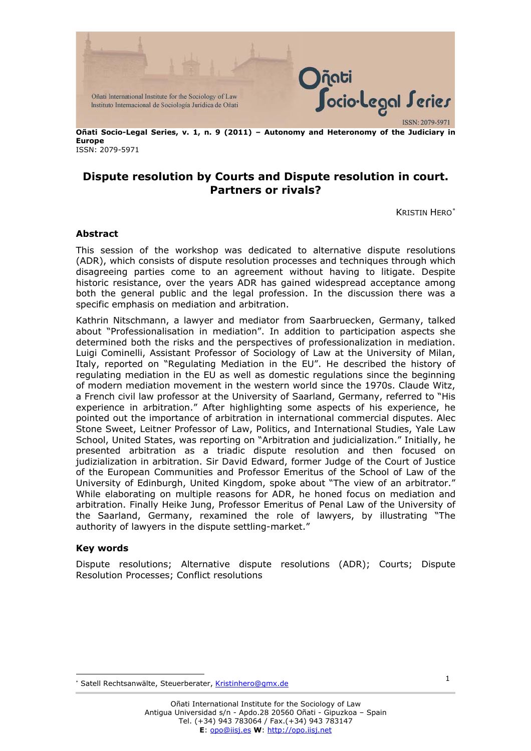

**Oñati Socio-Legal Series, v. 1, n. 9 (2011) – Autonomy and Heteronomy of the Judiciary in Europe**  ISSN: 2079-5971

## **Dispute resolution by Courts and Dispute resolution in court. Partners or rivals?**

KRISTIN HERO[∗](#page-0-0)

## **Abstract**

This session of the workshop was dedicated to alternative dispute resolutions (ADR), which consists of [dispute resolution](http://en.wikipedia.org/wiki/Dispute_resolution%20/%20Dispute%20resolution) processes and techniques through which disagreeing parties come to an agreement without having to litigate. Despite historic resistance, over the years ADR has gained widespread acceptance among both the general public and the [legal profession.](http://en.wikipedia.org/wiki/Legal_profession%20/%20Legal%20profession) In the discussion there was a specific emphasis on mediation and arbitration.

Kathrin Nitschmann, a lawyer and mediator from Saarbruecken, Germany, talked about "Professionalisation in mediation". In addition to participation aspects she determined both the risks and the perspectives of professionalization in mediation. Luigi Cominelli, Assistant Professor of Sociology of Law at the University of Milan, Italy, reported on "Regulating Mediation in the EU". He described the history of regulating mediation in the EU as well as domestic regulations since the beginning of modern mediation movement in the western world since the 1970s. Claude Witz, a French civil law professor at the University of Saarland, Germany, referred to "His experience in arbitration." After highlighting some aspects of his experience, he pointed out the importance of arbitration in international commercial disputes. Alec Stone Sweet, Leitner Professor of Law, Politics, and International Studies, Yale Law School, United States, was reporting on "Arbitration and judicialization." Initially, he presented arbitration as a triadic dispute resolution and then focused on judizialization in arbitration. Sir David Edward, former Judge of the [Court of Justice](http://en.wikipedia.org/wiki/Court_of_Justice_of_the_European_Communities%20/%20Court%20of%20Justice%20of%20the%20European%20Communities)  [of the European Communities](http://en.wikipedia.org/wiki/Court_of_Justice_of_the_European_Communities%20/%20Court%20of%20Justice%20of%20the%20European%20Communities) and Professor Emeritus of the School of Law of the University of Edinburgh, United Kingdom, spoke about "The view of an arbitrator." While elaborating on multiple reasons for ADR, he honed focus on mediation and arbitration. Finally Heike Jung, Professor Emeritus of Penal Law of the University of the Saarland, Germany, rexamined the role of lawyers, by illustrating "The authority of lawyers in the dispute settling-market."

## **Key words**

 $\overline{a}$ 

Dispute resolutions; Alternative dispute resolutions (ADR); Courts; [Dispute](http://en.wikipedia.org/wiki/Dispute_resolution%20/%20Dispute%20resolution)  [Resolution](http://en.wikipedia.org/wiki/Dispute_resolution%20/%20Dispute%20resolution) Processes; Conflict resolutions

<span id="page-0-0"></span><sup>∗</sup> Satell Rechtsanwälte, Steuerberater, Kristinhero@gmx.de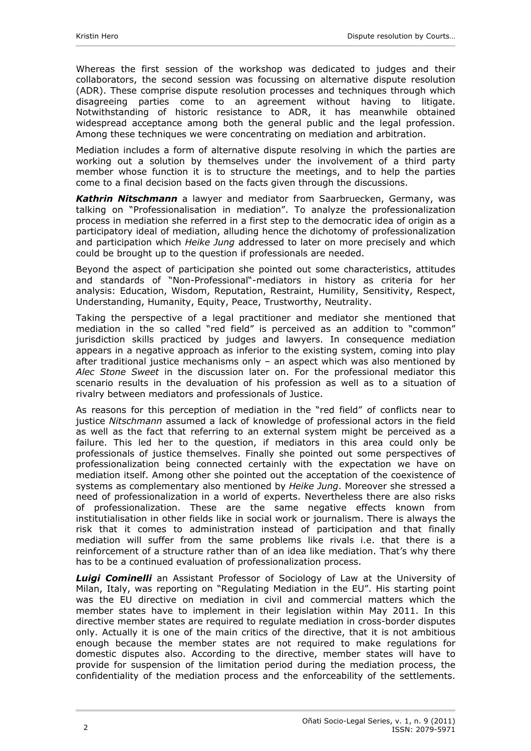Whereas the first session of the workshop was dedicated to judges and their collaborators, the second session was focussing on alternative dispute resolution (ADR). These comprise [dispute resolution](http://en.wikipedia.org/wiki/Dispute_resolution%20/%20Dispute%20resolution) processes and techniques through which disagreeing parties come to an agreement without having to litigate. Notwithstanding of historic resistance to ADR, it has meanwhile obtained widespread acceptance among both the general public and the [legal profession.](http://en.wikipedia.org/wiki/Legal_profession%20/%20Legal%20profession) Among these techniques we were concentrating on mediation and arbitration.

Mediation includes a form of alternative dispute resolving in which the parties are working out a solution by themselves under the involvement of a third party member whose function it is to structure the meetings, and to help the parties come to a final decision based on the facts given through the discussions.

*Kathrin Nitschmann* a lawyer and mediator from Saarbruecken, Germany, was talking on "Professionalisation in mediation". To analyze the professionalization process in mediation she referred in a first step to the democratic idea of origin as a participatory ideal of mediation, alluding hence the dichotomy of professionalization and participation which *Heike Jung* addressed to later on more precisely and which could be brought up to the question if professionals are needed.

Beyond the aspect of participation she pointed out some characteristics, attitudes and standards of "Non-Professional"-mediators in history as criteria for her analysis: Education, Wisdom, Reputation, Restraint, Humility, Sensitivity, Respect, Understanding, Humanity, Equity, Peace, Trustworthy, Neutrality.

Taking the perspective of a legal practitioner and mediator she mentioned that mediation in the so called "red field" is perceived as an addition to "common" jurisdiction skills practiced by judges and lawyers. In consequence mediation appears in a negative approach as inferior to the existing system, coming into play after traditional justice mechanisms only  $-$  an aspect which was also mentioned by *Alec Stone Sweet* in the discussion later on. For the professional mediator this scenario results in the devaluation of his profession as well as to a situation of rivalry between mediators and professionals of Justice.

As reasons for this perception of mediation in the "red field" of conflicts near to justice *Nitschmann* assumed a lack of knowledge of professional actors in the field as well as the fact that referring to an external system might be perceived as a failure. This led her to the question, if mediators in this area could only be professionals of justice themselves. Finally she pointed out some perspectives of professionalization being connected certainly with the expectation we have on mediation itself. Among other she pointed out the acceptation of the coexistence of systems as complementary also mentioned by *Heike Jung*. Moreover she stressed a need of professionalization in a world of experts. Nevertheless there are also risks of professionalization. These are the same negative effects known from institutialisation in other fields like in social work or journalism. There is always the risk that it comes to administration instead of participation and that finally mediation will suffer from the same problems like rivals i.e. that there is a reinforcement of a structure rather than of an idea like mediation. That's why there has to be a continued evaluation of professionalization process.

*Luigi Cominelli* an Assistant Professor of Sociology of Law at the University of Milan, Italy, was reporting on "Regulating Mediation in the EU". His starting point was the EU directive on mediation in civil and commercial matters which the member states have to implement in their legislation within May 2011. In this directive member states are required to regulate mediation in cross-border disputes only. Actually it is one of the main critics of the directive, that it is not ambitious enough because the member states are not required to make regulations for domestic disputes also. According to the directive, member states will have to provide for suspension of the limitation period during the mediation process, the confidentiality of the mediation process and the enforceability of the settlements.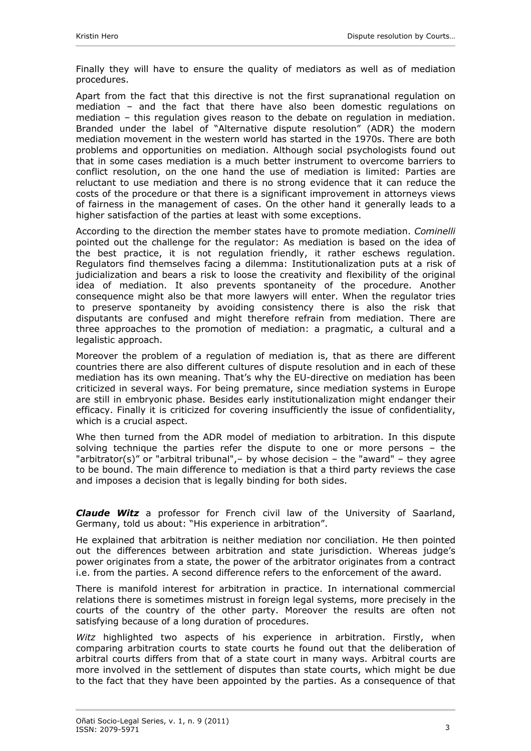Finally they will have to ensure the quality of mediators as well as of mediation procedures.

Apart from the fact that this directive is not the first supranational regulation on mediation – and the fact that there have also been domestic regulations on mediation – this regulation gives reason to the debate on regulation in mediation. Branded under the label of "Alternative dispute resolution" (ADR) the modern mediation movement in the western world has started in the 1970s. There are both problems and opportunities on mediation. Although social psychologists found out that in some cases mediation is a much better instrument to overcome barriers to conflict resolution, on the one hand the use of mediation is limited: Parties are reluctant to use mediation and there is no strong evidence that it can reduce the costs of the procedure or that there is a significant improvement in attorneys views of fairness in the management of cases. On the other hand it generally leads to a higher satisfaction of the parties at least with some exceptions.

According to the direction the member states have to promote mediation. *Cominelli* pointed out the challenge for the regulator: As mediation is based on the idea of the best practice, it is not regulation friendly, it rather eschews regulation. Regulators find themselves facing a dilemma: Institutionalization puts at a risk of judicialization and bears a risk to loose the creativity and flexibility of the original idea of mediation. It also prevents spontaneity of the procedure. Another consequence might also be that more lawyers will enter. When the regulator tries to preserve spontaneity by avoiding consistency there is also the risk that disputants are confused and might therefore refrain from mediation. There are three approaches to the promotion of mediation: a pragmatic, a cultural and a legalistic approach.

Moreover the problem of a regulation of mediation is, that as there are different countries there are also different cultures of dispute resolution and in each of these mediation has its own meaning. That's why the EU-directive on mediation has been criticized in several ways. For being premature, since mediation systems in Europe are still in embryonic phase. Besides early institutionalization might endanger their efficacy. Finally it is criticized for covering insufficiently the issue of confidentiality, which is a crucial aspect.

Whe then turned from the ADR model of mediation to arbitration. In this dispute solving technique the parties refer the dispute to one or more persons – the "arbitrator(s)" or "[arbitral tribunal"](http://en.wikipedia.org/wiki/Arbitral_tribunal%20/%20Arbitral%20tribunal),– by whose decision – the "[award](http://en.wikipedia.org/wiki/Arbitral_award%20/%20Arbitral%20award)" – they agree to be bound. The main difference to mediation is that a third party reviews the case and imposes a decision that is legally binding for both sides.

*Claude Witz* a professor for French civil law of the University of Saarland, Germany, told us about: "His experience in arbitration".

He explained that arbitration is neither mediation nor conciliation. He then pointed out the differences between arbitration and state jurisdiction. Whereas judge's power originates from a state, the power of the arbitrator originates from a contract i.e. from the parties. A second difference refers to the enforcement of the award.

There is manifold interest for arbitration in practice. In international commercial relations there is sometimes mistrust in foreign legal systems, more precisely in the courts of the country of the other party. Moreover the results are often not satisfying because of a long duration of procedures.

*Witz* highlighted two aspects of his experience in arbitration. Firstly, when comparing arbitration courts to state courts he found out that the deliberation of arbitral courts differs from that of a state court in many ways. Arbitral courts are more involved in the settlement of disputes than state courts, which might be due to the fact that they have been appointed by the parties. As a consequence of that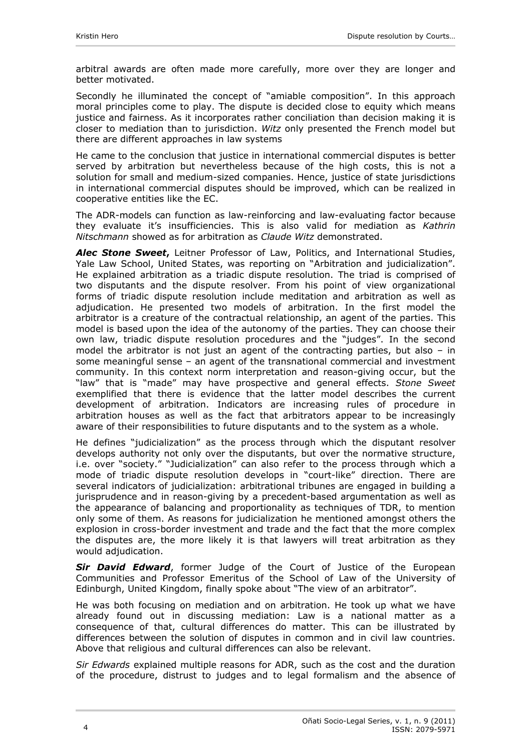arbitral awards are often made more carefully, more over they are longer and better motivated.

Secondly he illuminated the concept of "amiable composition". In this approach moral principles come to play. The dispute is decided close to equity which means justice and fairness. As it incorporates rather conciliation than decision making it is closer to mediation than to jurisdiction. *Witz* only presented the French model but there are different approaches in law systems

He came to the conclusion that justice in international commercial disputes is better served by arbitration but nevertheless because of the high costs, this is not a solution for small and medium-sized companies. Hence, justice of state jurisdictions in international commercial disputes should be improved, which can be realized in cooperative entities like the EC.

The ADR-models can function as law-reinforcing and law-evaluating factor because they evaluate it's insufficiencies. This is also valid for mediation as *Kathrin Nitschmann* showed as for arbitration as *Claude Witz* demonstrated.

*Alec Stone Sweet***,** Leitner Professor of Law, Politics, and International Studies, Yale Law School, United States, was reporting on "Arbitration and judicialization". He explained arbitration as a triadic dispute resolution. The triad is comprised of two disputants and the dispute resolver. From his point of view organizational forms of triadic dispute resolution include meditation and arbitration as well as adjudication. He presented two models of arbitration. In the first model the arbitrator is a creature of the contractual relationship, an agent of the parties. This model is based upon the idea of the autonomy of the parties. They can choose their own law, triadic dispute resolution procedures and the "judges". In the second model the arbitrator is not just an agent of the contracting parties, but also – in some meaningful sense – an agent of the transnational commercial and investment community. In this context norm interpretation and reason-giving occur, but the "law" that is "made" may have prospective and general effects. *Stone Sweet* exemplified that there is evidence that the latter model describes the current development of arbitration. Indicators are increasing rules of procedure in arbitration houses as well as the fact that arbitrators appear to be increasingly aware of their responsibilities to future disputants and to the system as a whole.

He defines "judicialization" as the process through which the disputant resolver develops authority not only over the disputants, but over the normative structure, i.e. over "society." "Judicialization" can also refer to the process through which a mode of triadic dispute resolution develops in "court-like" direction. There are several indicators of judicialization: arbitrational tribunes are engaged in building a jurisprudence and in reason-giving by a precedent-based argumentation as well as the appearance of balancing and proportionality as techniques of TDR, to mention only some of them. As reasons for judicialization he mentioned amongst others the explosion in cross-border investment and trade and the fact that the more complex the disputes are, the more likely it is that lawyers will treat arbitration as they would adjudication.

**Sir David Edward**, former Judge of the Court of Justice of the European [Communities](http://en.wikipedia.org/wiki/Court_of_Justice_of_the_European_Communities%20/%20Court%20of%20Justice%20of%20the%20European%20Communities) and Professor Emeritus of the School of Law of the University of Edinburgh, United Kingdom, finally spoke about "The view of an arbitrator".

He was both focusing on mediation and on arbitration. He took up what we have already found out in discussing mediation: Law is a national matter as a consequence of that, cultural differences do matter. This can be illustrated by differences between the solution of disputes in common and in civil law countries. Above that religious and cultural differences can also be relevant.

*Sir Edwards* explained multiple reasons for ADR, such as the cost and the duration of the procedure, distrust to judges and to legal formalism and the absence of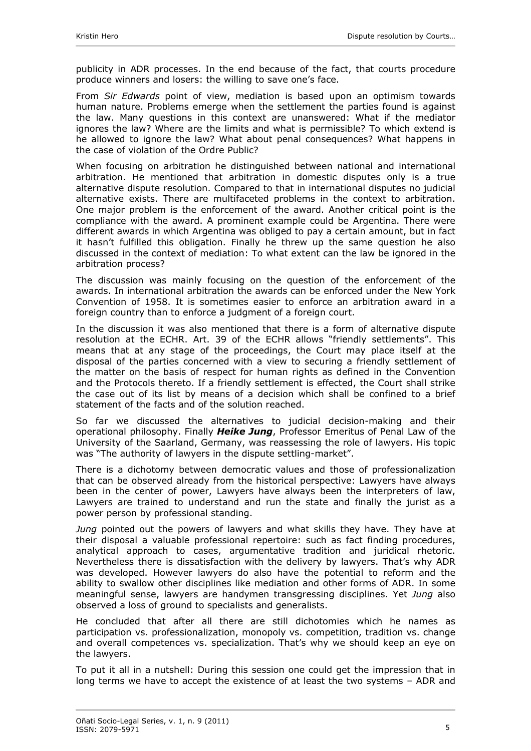publicity in ADR processes. In the end because of the fact, that courts procedure produce winners and losers: the willing to save one's face.

From *Sir Edwards* point of view, mediation is based upon an optimism towards human nature. Problems emerge when the settlement the parties found is against the law. Many questions in this context are unanswered: What if the mediator ignores the law? Where are the limits and what is permissible? To which extend is he allowed to ignore the law? What about penal consequences? What happens in the case of violation of the Ordre Public?

When focusing on arbitration he distinguished between national and international arbitration. He mentioned that arbitration in domestic disputes only is a true alternative dispute resolution. Compared to that in international disputes no judicial alternative exists. There are multifaceted problems in the context to arbitration. One major problem is the enforcement of the award. Another critical point is the compliance with the award. A prominent example could be Argentina. There were different awards in which Argentina was obliged to pay a certain amount, but in fact it hasn't fulfilled this obligation. Finally he threw up the same question he also discussed in the context of mediation: To what extent can the law be ignored in the arbitration process?

The discussion was mainly focusing on the question of the enforcement of the awards. In international arbitration the awards can be enforced under the New York Convention of 1958. It is sometimes easier to enforce an arbitration award in a foreign country than to enforce a judgment of a foreign court.

In the discussion it was also mentioned that there is a form of alternative dispute resolution at the ECHR. Art. 39 of the ECHR allows "friendly settlements". This means that at any stage of the proceedings, the Court may place itself at the disposal of the parties concerned with a view to securing a friendly settlement of the matter on the basis of respect for human rights as defined in the Convention and the Protocols thereto. If a friendly settlement is effected, the Court shall strike the case out of its list by means of a decision which shall be confined to a brief statement of the facts and of the solution reached.

So far we discussed the alternatives to judicial decision-making and their operational philosophy. Finally *Heike Jung*, Professor Emeritus of Penal Law of the University of the Saarland, Germany, was reassessing the role of lawyers. His topic was "The authority of lawyers in the dispute settling-market".

There is a dichotomy between democratic values and those of professionalization that can be observed already from the historical perspective: Lawyers have always been in the center of power, Lawyers have always been the interpreters of law, Lawyers are trained to understand and run the state and finally the jurist as a power person by professional standing.

*Jung* pointed out the powers of lawyers and what skills they have. They have at their disposal a valuable professional repertoire: such as fact finding procedures, analytical approach to cases, argumentative tradition and juridical rhetoric. Nevertheless there is dissatisfaction with the delivery by lawyers. That's why ADR was developed. However lawyers do also have the potential to reform and the ability to swallow other disciplines like mediation and other forms of ADR. In some meaningful sense, lawyers are handymen transgressing disciplines. Yet *Jung* also observed a loss of ground to specialists and generalists.

He concluded that after all there are still dichotomies which he names as participation vs. professionalization, monopoly vs. competition, tradition vs. change and overall competences vs. specialization. That's why we should keep an eye on the lawyers.

To put it all in a nutshell: During this session one could get the impression that in long terms we have to accept the existence of at least the two systems – ADR and